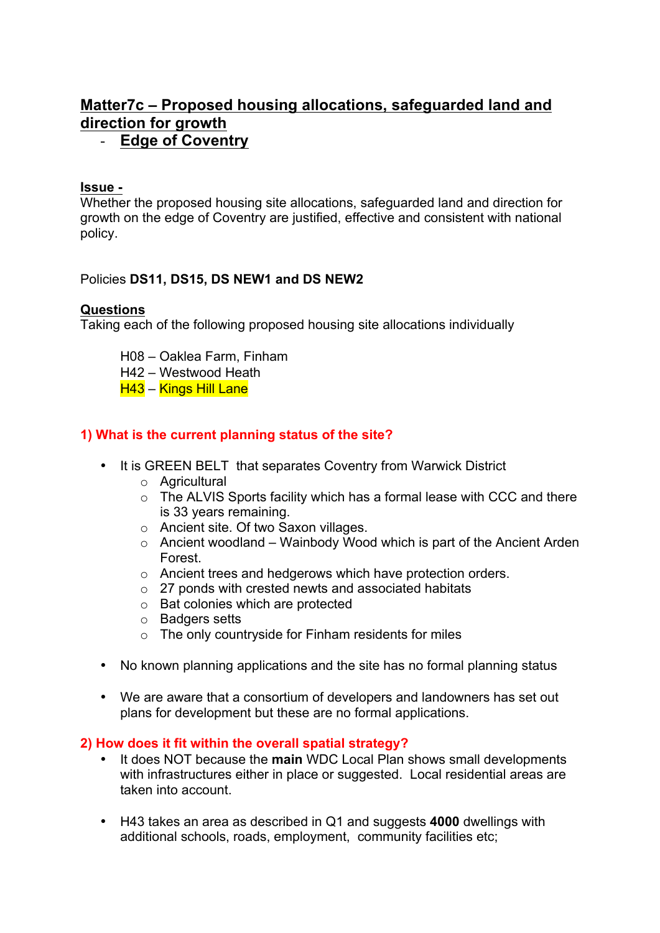# **Matter7c – Proposed housing allocations, safeguarded land and direction for growth**

## - **Edge of Coventry**

#### **Issue -**

Whether the proposed housing site allocations, safeguarded land and direction for growth on the edge of Coventry are justified, effective and consistent with national policy.

## Policies **DS11, DS15, DS NEW1 and DS NEW2**

## **Questions**

Taking each of the following proposed housing site allocations individually

- H08 Oaklea Farm, Finham
- H42 Westwood Heath
- H43 Kings Hill Lane

## **1) What is the current planning status of the site?**

- It is GREEN BELT that separates Coventry from Warwick District
	- o Agricultural
	- o The ALVIS Sports facility which has a formal lease with CCC and there is 33 years remaining.
	- o Ancient site. Of two Saxon villages.
	- $\circ$  Ancient woodland Wainbody Wood which is part of the Ancient Arden Forest.
	- o Ancient trees and hedgerows which have protection orders.
	- o 27 ponds with crested newts and associated habitats
	- o Bat colonies which are protected
	- o Badgers setts
	- o The only countryside for Finham residents for miles
- No known planning applications and the site has no formal planning status
- We are aware that a consortium of developers and landowners has set out plans for development but these are no formal applications.

## **2) How does it fit within the overall spatial strategy?**

- It does NOT because the **main** WDC Local Plan shows small developments with infrastructures either in place or suggested. Local residential areas are taken into account.
- H43 takes an area as described in Q1 and suggests **4000** dwellings with additional schools, roads, employment, community facilities etc;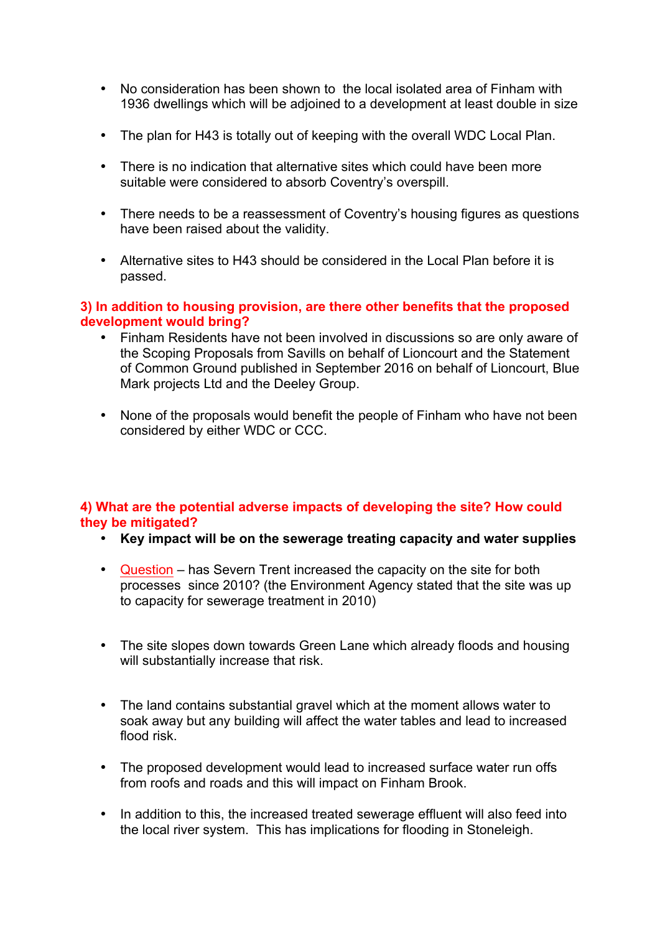- No consideration has been shown to the local isolated area of Finham with 1936 dwellings which will be adjoined to a development at least double in size
- The plan for H43 is totally out of keeping with the overall WDC Local Plan.
- There is no indication that alternative sites which could have been more suitable were considered to absorb Coventry's overspill.
- There needs to be a reassessment of Coventry's housing figures as questions have been raised about the validity.
- Alternative sites to H43 should be considered in the Local Plan before it is passed.

#### **3) In addition to housing provision, are there other benefits that the proposed development would bring?**

- Finham Residents have not been involved in discussions so are only aware of the Scoping Proposals from Savills on behalf of Lioncourt and the Statement of Common Ground published in September 2016 on behalf of Lioncourt, Blue Mark projects Ltd and the Deeley Group.
- None of the proposals would benefit the people of Finham who have not been considered by either WDC or CCC.

#### **4) What are the potential adverse impacts of developing the site? How could they be mitigated?**

- **Key impact will be on the sewerage treating capacity and water supplies**
- Question has Severn Trent increased the capacity on the site for both processes since 2010? (the Environment Agency stated that the site was up to capacity for sewerage treatment in 2010)
- The site slopes down towards Green Lane which already floods and housing will substantially increase that risk.
- The land contains substantial gravel which at the moment allows water to soak away but any building will affect the water tables and lead to increased flood risk.
- The proposed development would lead to increased surface water run offs from roofs and roads and this will impact on Finham Brook.
- In addition to this, the increased treated sewerage effluent will also feed into the local river system. This has implications for flooding in Stoneleigh.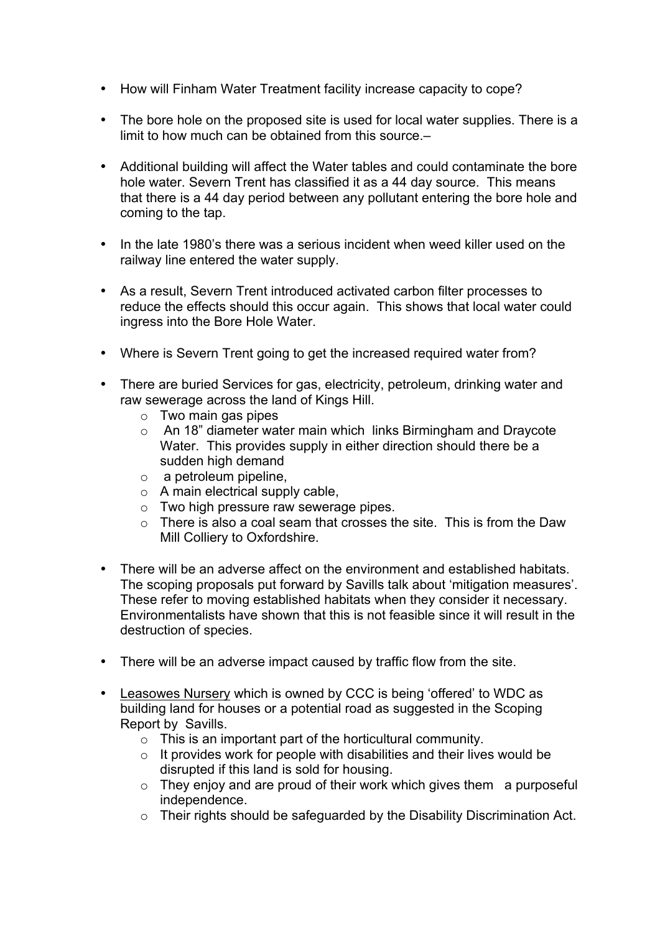- How will Finham Water Treatment facility increase capacity to cope?
- The bore hole on the proposed site is used for local water supplies. There is a limit to how much can be obtained from this source.–
- Additional building will affect the Water tables and could contaminate the bore hole water. Severn Trent has classified it as a 44 day source. This means that there is a 44 day period between any pollutant entering the bore hole and coming to the tap.
- In the late 1980's there was a serious incident when weed killer used on the railway line entered the water supply.
- As a result, Severn Trent introduced activated carbon filter processes to reduce the effects should this occur again. This shows that local water could ingress into the Bore Hole Water.
- Where is Severn Trent going to get the increased required water from?
- There are buried Services for gas, electricity, petroleum, drinking water and raw sewerage across the land of Kings Hill.
	- o Two main gas pipes
	- o An 18" diameter water main which links Birmingham and Draycote Water. This provides supply in either direction should there be a sudden high demand
	- o a petroleum pipeline,
	- o A main electrical supply cable,
	- $\circ$  Two high pressure raw sewerage pipes.
	- $\circ$  There is also a coal seam that crosses the site. This is from the Daw Mill Colliery to Oxfordshire.
- There will be an adverse affect on the environment and established habitats. The scoping proposals put forward by Savills talk about 'mitigation measures'. These refer to moving established habitats when they consider it necessary. Environmentalists have shown that this is not feasible since it will result in the destruction of species.
- There will be an adverse impact caused by traffic flow from the site.
- Leasowes Nursery which is owned by CCC is being 'offered' to WDC as building land for houses or a potential road as suggested in the Scoping Report by Savills.
	- o This is an important part of the horticultural community.
	- $\circ$  It provides work for people with disabilities and their lives would be disrupted if this land is sold for housing.
	- $\circ$  They enjoy and are proud of their work which gives them a purposeful independence.
	- o Their rights should be safeguarded by the Disability Discrimination Act.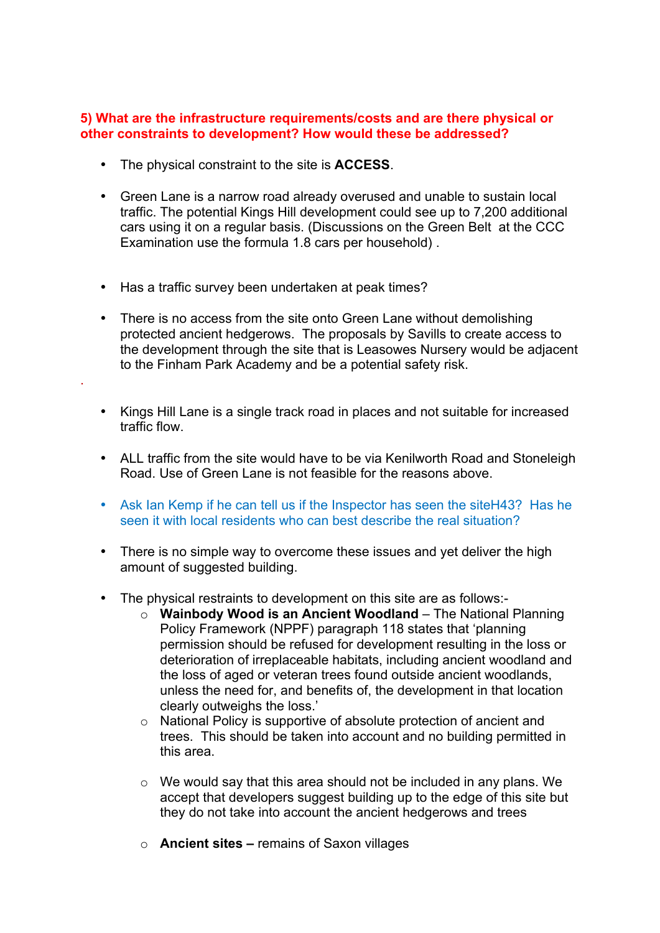#### **5) What are the infrastructure requirements/costs and are there physical or other constraints to development? How would these be addressed?**

- The physical constraint to the site is **ACCESS**.
- Green Lane is a narrow road already overused and unable to sustain local traffic. The potential Kings Hill development could see up to 7,200 additional cars using it on a regular basis. (Discussions on the Green Belt at the CCC Examination use the formula 1.8 cars per household) .
- Has a traffic survey been undertaken at peak times?

.

- There is no access from the site onto Green Lane without demolishing protected ancient hedgerows. The proposals by Savills to create access to the development through the site that is Leasowes Nursery would be adjacent to the Finham Park Academy and be a potential safety risk.
- Kings Hill Lane is a single track road in places and not suitable for increased traffic flow.
- ALL traffic from the site would have to be via Kenilworth Road and Stoneleigh Road. Use of Green Lane is not feasible for the reasons above.
- Ask Ian Kemp if he can tell us if the Inspector has seen the siteH43? Has he seen it with local residents who can best describe the real situation?
- There is no simple way to overcome these issues and yet deliver the high amount of suggested building.
- The physical restraints to development on this site are as follows:
	- o **Wainbody Wood is an Ancient Woodland** The National Planning Policy Framework (NPPF) paragraph 118 states that 'planning permission should be refused for development resulting in the loss or deterioration of irreplaceable habitats, including ancient woodland and the loss of aged or veteran trees found outside ancient woodlands, unless the need for, and benefits of, the development in that location clearly outweighs the loss.'
	- o National Policy is supportive of absolute protection of ancient and trees. This should be taken into account and no building permitted in this area.
	- o We would say that this area should not be included in any plans. We accept that developers suggest building up to the edge of this site but they do not take into account the ancient hedgerows and trees
	- o **Ancient sites –** remains of Saxon villages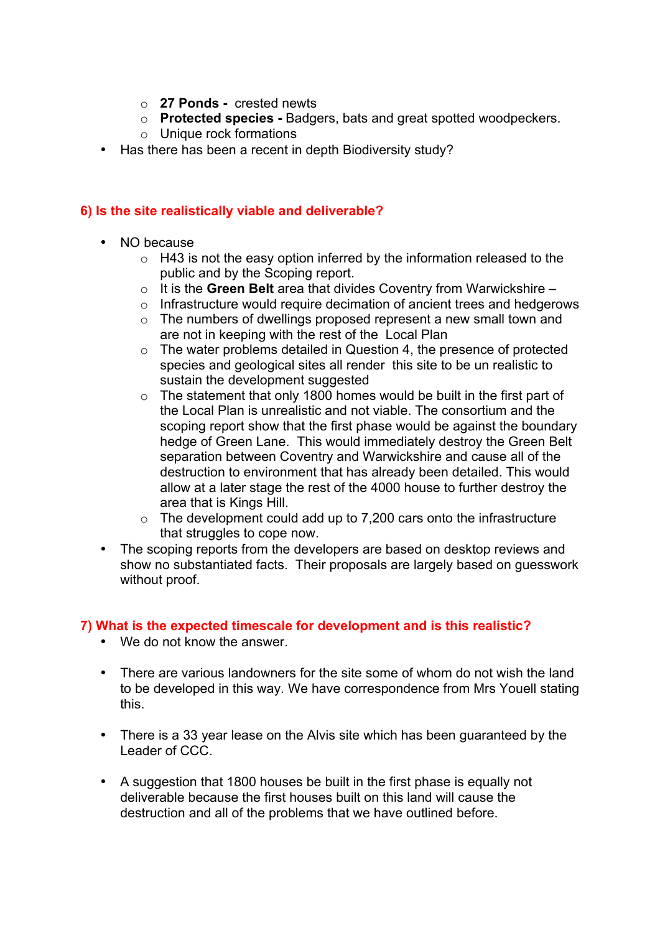- o **27 Ponds -** crested newts
- o **Protected species -** Badgers, bats and great spotted woodpeckers.
- o Unique rock formations
- Has there has been a recent in depth Biodiversity study?

### **6) Is the site realistically viable and deliverable?**

- NO because
	- $\circ$  H43 is not the easy option inferred by the information released to the public and by the Scoping report.
	- o It is the **Green Belt** area that divides Coventry from Warwickshire –
	- $\circ$  Infrastructure would require decimation of ancient trees and hedgerows
	- o The numbers of dwellings proposed represent a new small town and are not in keeping with the rest of the Local Plan
	- o The water problems detailed in Question 4, the presence of protected species and geological sites all render this site to be un realistic to sustain the development suggested
	- $\circ$  The statement that only 1800 homes would be built in the first part of the Local Plan is unrealistic and not viable. The consortium and the scoping report show that the first phase would be against the boundary hedge of Green Lane. This would immediately destroy the Green Belt separation between Coventry and Warwickshire and cause all of the destruction to environment that has already been detailed. This would allow at a later stage the rest of the 4000 house to further destroy the area that is Kings Hill.
	- $\circ$  The development could add up to 7,200 cars onto the infrastructure that struggles to cope now.
- The scoping reports from the developers are based on desktop reviews and show no substantiated facts. Their proposals are largely based on guesswork without proof.

## **7) What is the expected timescale for development and is this realistic?**

- We do not know the answer.
- There are various landowners for the site some of whom do not wish the land to be developed in this way. We have correspondence from Mrs Youell stating this.
- There is a 33 year lease on the Alvis site which has been guaranteed by the Leader of CCC.
- A suggestion that 1800 houses be built in the first phase is equally not deliverable because the first houses built on this land will cause the destruction and all of the problems that we have outlined before.